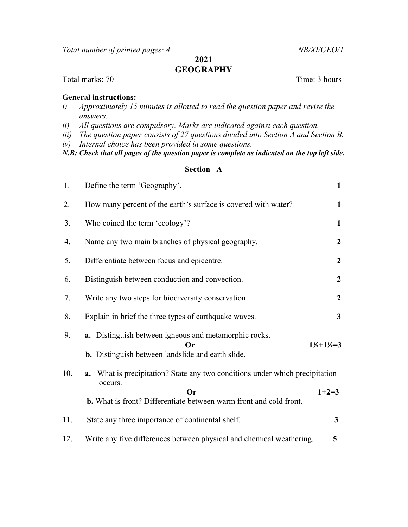Total number of printed pages: 4 NB/XI/GEO/1

## 2021 **GEOGRAPHY**

### Total marks: 70 Time: 3 hours

## General instructions:

- i) Approximately 15 minutes is allotted to read the question paper and revise the answers.
- ii) All questions are compulsory. Marks are indicated against each question.
- iii) The question paper consists of 27 questions divided into Section A and Section B.
- iv) Internal choice has been provided in some questions.

N.B: Check that all pages of the question paper is complete as indicated on the top left side.

## Section –A

| 1.  | Define the term 'Geography'.                                                                                            | $\mathbf{1}$                  |
|-----|-------------------------------------------------------------------------------------------------------------------------|-------------------------------|
| 2.  | How many percent of the earth's surface is covered with water?                                                          | $\mathbf{1}$                  |
| 3.  | Who coined the term 'ecology'?                                                                                          | $\mathbf{1}$                  |
| 4.  | Name any two main branches of physical geography.                                                                       | $\overline{2}$                |
| 5.  | Differentiate between focus and epicentre.                                                                              | $\overline{2}$                |
| 6.  | Distinguish between conduction and convection.                                                                          | $\boldsymbol{2}$              |
| 7.  | Write any two steps for biodiversity conservation.                                                                      | $\overline{2}$                |
| 8.  | Explain in brief the three types of earthquake waves.                                                                   | $\mathbf{3}$                  |
| 9.  | a. Distinguish between igneous and metamorphic rocks.<br>Or<br><b>b.</b> Distinguish between landslide and earth slide. | $1\frac{1}{2}+1\frac{1}{2}=3$ |
| 10. | What is precipitation? State any two conditions under which precipitation<br>a.<br>occurs.                              |                               |
|     | $\Omega$ r<br><b>b.</b> What is front? Differentiate between warm front and cold front.                                 | $1+2=3$                       |
| 11. | State any three importance of continental shelf.                                                                        | $\mathbf{3}$                  |
| 12. | Write any five differences between physical and chemical weathering.                                                    | 5                             |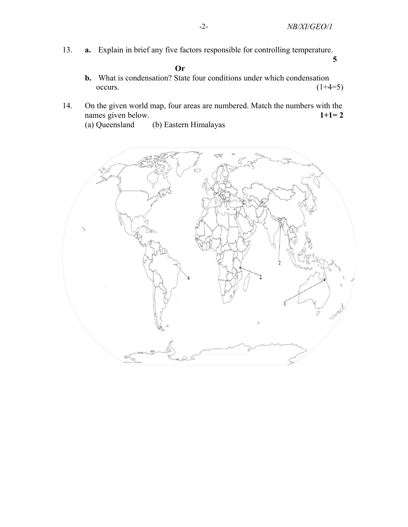13. a. Explain in brief any five factors responsible for controlling temperature.

Or

b. What is condensation? State four conditions under which condensation occurs.  $(1+4=5)$ 

 $\overline{5}$ 

- 14. On the given world map, four areas are numbered. Match the numbers with the names given below.  $1+1=2$ 
	- (a) Queensland (b) Eastern Himalayas

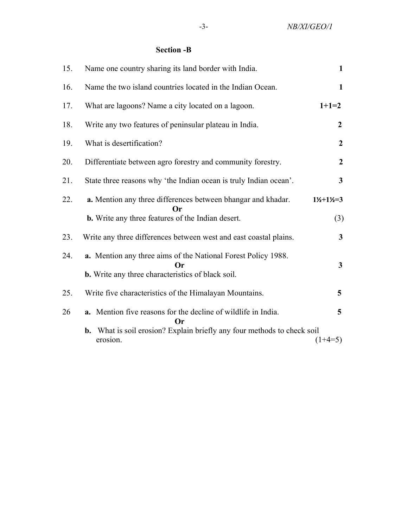# Section -B

| 15. | Name one country sharing its land border with India.                                                                            | $\mathbf{1}$                  |
|-----|---------------------------------------------------------------------------------------------------------------------------------|-------------------------------|
| 16. | Name the two island countries located in the Indian Ocean.                                                                      | $\mathbf{1}$                  |
| 17. | What are lagoons? Name a city located on a lagoon.                                                                              | $1+1=2$                       |
| 18. | Write any two features of peninsular plateau in India.                                                                          | $\boldsymbol{2}$              |
| 19. | What is desertification?                                                                                                        | $\boldsymbol{2}$              |
| 20. | Differentiate between agro forestry and community forestry.                                                                     | $\boldsymbol{2}$              |
| 21. | State three reasons why 'the Indian ocean is truly Indian ocean'.                                                               | $\mathbf{3}$                  |
| 22. | a. Mention any three differences between bhangar and khadar.<br>Or                                                              | $1\frac{1}{2}+1\frac{1}{2}=3$ |
|     | <b>b.</b> Write any three features of the Indian desert.                                                                        | (3)                           |
| 23. | Write any three differences between west and east coastal plains.                                                               | $\mathbf{3}$                  |
| 24. | a. Mention any three aims of the National Forest Policy 1988.<br>Or<br><b>b.</b> Write any three characteristics of black soil. | $\mathbf{3}$                  |
| 25. | Write five characteristics of the Himalayan Mountains.                                                                          | 5                             |
| 26  | a. Mention five reasons for the decline of wildlife in India.<br>Or                                                             | 5                             |
|     | <b>b.</b> What is soil erosion? Explain briefly any four methods to check soil<br>erosion.                                      | $(1+4=5)$                     |